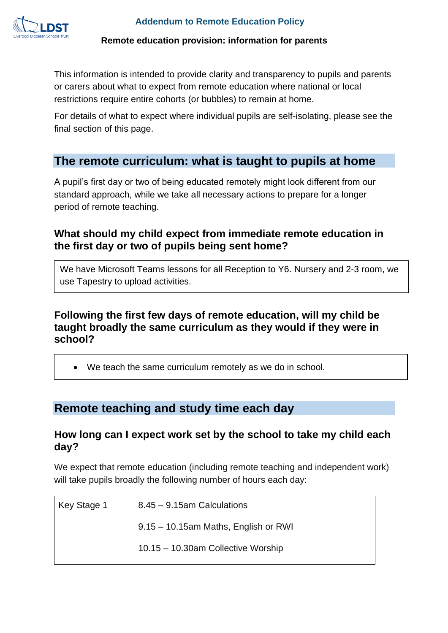

This information is intended to provide clarity and transparency to pupils and parents or carers about what to expect from remote education where national or local restrictions require entire cohorts (or bubbles) to remain at home.

For details of what to expect where individual pupils are self-isolating, please see the final section of this page.

## **The remote curriculum: what is taught to pupils at home**

A pupil's first day or two of being educated remotely might look different from our standard approach, while we take all necessary actions to prepare for a longer period of remote teaching.

## **What should my child expect from immediate remote education in the first day or two of pupils being sent home?**

We have Microsoft Teams lessons for all Reception to Y6. Nursery and 2-3 room, we use Tapestry to upload activities.

### **Following the first few days of remote education, will my child be taught broadly the same curriculum as they would if they were in school?**

• We teach the same curriculum remotely as we do in school.

# **Remote teaching and study time each day**

#### **How long can I expect work set by the school to take my child each day?**

We expect that remote education (including remote teaching and independent work) will take pupils broadly the following number of hours each day:

| Key Stage 1 | 8.45 - 9.15am Calculations           |
|-------------|--------------------------------------|
|             | 9.15 - 10.15am Maths, English or RWI |
|             | 10.15 - 10.30am Collective Worship   |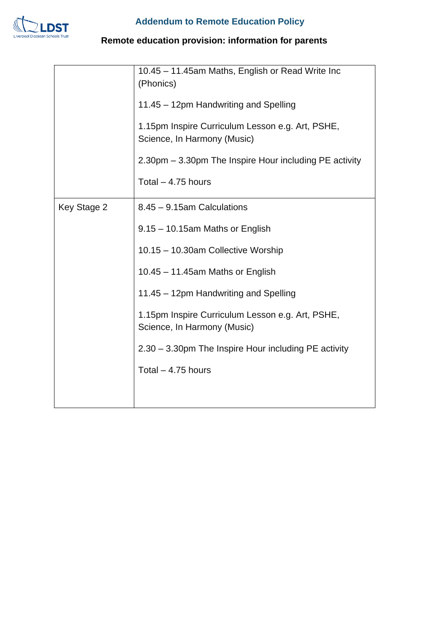

|             | 10.45 - 11.45am Maths, English or Read Write Inc<br>(Phonics)<br>11.45 - 12pm Handwriting and Spelling<br>1.15pm Inspire Curriculum Lesson e.g. Art, PSHE,<br>Science, In Harmony (Music)<br>2.30pm – 3.30pm The Inspire Hour including PE activity<br>Total $-4.75$ hours |
|-------------|----------------------------------------------------------------------------------------------------------------------------------------------------------------------------------------------------------------------------------------------------------------------------|
| Key Stage 2 | $8.45 - 9.15$ am Calculations<br>9.15 - 10.15am Maths or English<br>10.15 - 10.30am Collective Worship<br>10.45 - 11.45am Maths or English<br>11.45 - 12pm Handwriting and Spelling                                                                                        |
|             | 1.15pm Inspire Curriculum Lesson e.g. Art, PSHE,<br>Science, In Harmony (Music)<br>2.30 - 3.30pm The Inspire Hour including PE activity<br>Total $-4.75$ hours                                                                                                             |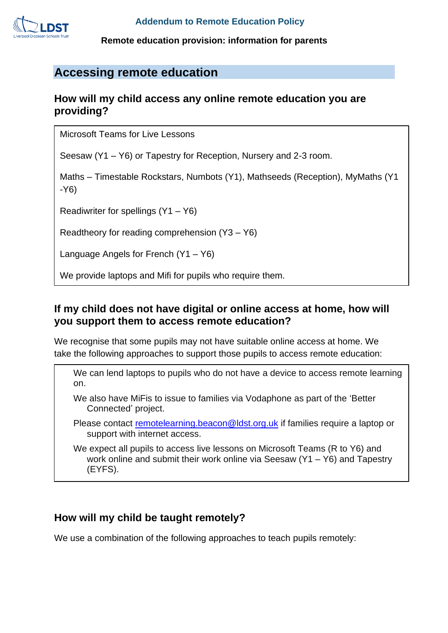

## **Accessing remote education**

#### **How will my child access any online remote education you are providing?**

Microsoft Teams for Live Lessons

Seesaw (Y1 – Y6) or Tapestry for Reception, Nursery and 2-3 room.

Maths – Timestable Rockstars, Numbots (Y1), Mathseeds (Reception), MyMaths (Y1 -Y6)

Readiwriter for spellings (Y1 – Y6)

Readtheory for reading comprehension (Y3 – Y6)

Language Angels for French (Y1 – Y6)

We provide laptops and Mifi for pupils who require them.

#### **If my child does not have digital or online access at home, how will you support them to access remote education?**

We recognise that some pupils may not have suitable online access at home. We take the following approaches to support those pupils to access remote education:

We can lend laptops to pupils who do not have a device to access remote learning on.

We also have MiFis to issue to families via Vodaphone as part of the 'Better Connected' project.

Please contact [remotelearning.beacon@ldst.org.uk](mailto:remotelearning.beacon@ldst.org.uk) if families require a laptop or support with internet access.

We expect all pupils to access live lessons on Microsoft Teams (R to Y6) and work online and submit their work online via Seesaw (Y1 – Y6) and Tapestry (EYFS).

#### **How will my child be taught remotely?**

We use a combination of the following approaches to teach pupils remotely: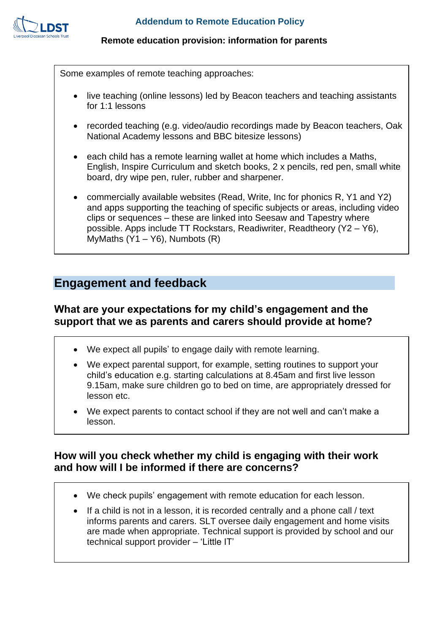

Some examples of remote teaching approaches:

- live teaching (online lessons) led by Beacon teachers and teaching assistants for 1:1 lessons
- recorded teaching (e.g. video/audio recordings made by Beacon teachers, Oak National Academy lessons and BBC bitesize lessons)
- each child has a remote learning wallet at home which includes a Maths, English, Inspire Curriculum and sketch books, 2 x pencils, red pen, small white board, dry wipe pen, ruler, rubber and sharpener.
- commercially available websites (Read, Write, Inc for phonics R, Y1 and Y2) and apps supporting the teaching of specific subjects or areas, including video clips or sequences – these are linked into Seesaw and Tapestry where possible. Apps include TT Rockstars, Readiwriter, Readtheory (Y2 – Y6), MyMaths  $(Y1 - Y6)$ , Numbots  $(R)$

## **Engagement and feedback**

### **What are your expectations for my child's engagement and the support that we as parents and carers should provide at home?**

- We expect all pupils' to engage daily with remote learning.
- We expect parental support, for example, setting routines to support your child's education e.g. starting calculations at 8.45am and first live lesson 9.15am, make sure children go to bed on time, are appropriately dressed for lesson etc.
- We expect parents to contact school if they are not well and can't make a lesson.

### **How will you check whether my child is engaging with their work and how will I be informed if there are concerns?**

- We check pupils' engagement with remote education for each lesson.
- If a child is not in a lesson, it is recorded centrally and a phone call / text informs parents and carers. SLT oversee daily engagement and home visits are made when appropriate. Technical support is provided by school and our technical support provider – 'Little IT'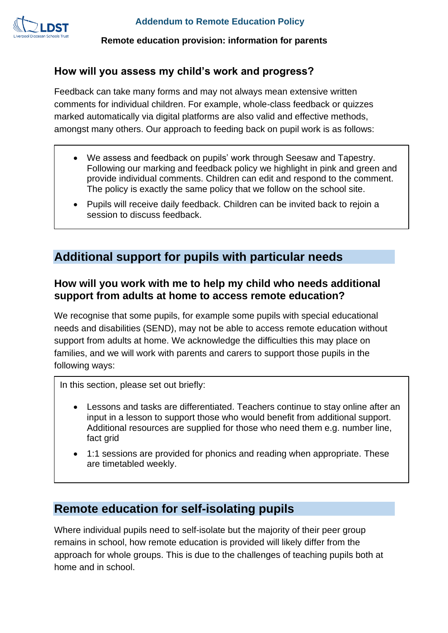

### **How will you assess my child's work and progress?**

Feedback can take many forms and may not always mean extensive written comments for individual children. For example, whole-class feedback or quizzes marked automatically via digital platforms are also valid and effective methods, amongst many others. Our approach to feeding back on pupil work is as follows:

- We assess and feedback on pupils' work through Seesaw and Tapestry. Following our marking and feedback policy we highlight in pink and green and provide individual comments. Children can edit and respond to the comment. The policy is exactly the same policy that we follow on the school site.
- Pupils will receive daily feedback. Children can be invited back to rejoin a session to discuss feedback.

# **Additional support for pupils with particular needs**

### **How will you work with me to help my child who needs additional support from adults at home to access remote education?**

We recognise that some pupils, for example some pupils with special educational needs and disabilities (SEND), may not be able to access remote education without support from adults at home. We acknowledge the difficulties this may place on families, and we will work with parents and carers to support those pupils in the following ways:

In this section, please set out briefly:

- Lessons and tasks are differentiated. Teachers continue to stay online after an input in a lesson to support those who would benefit from additional support. Additional resources are supplied for those who need them e.g. number line, fact grid
- 1:1 sessions are provided for phonics and reading when appropriate. These are timetabled weekly.

## **Remote education for self-isolating pupils**

Where individual pupils need to self-isolate but the majority of their peer group remains in school, how remote education is provided will likely differ from the approach for whole groups. This is due to the challenges of teaching pupils both at home and in school.